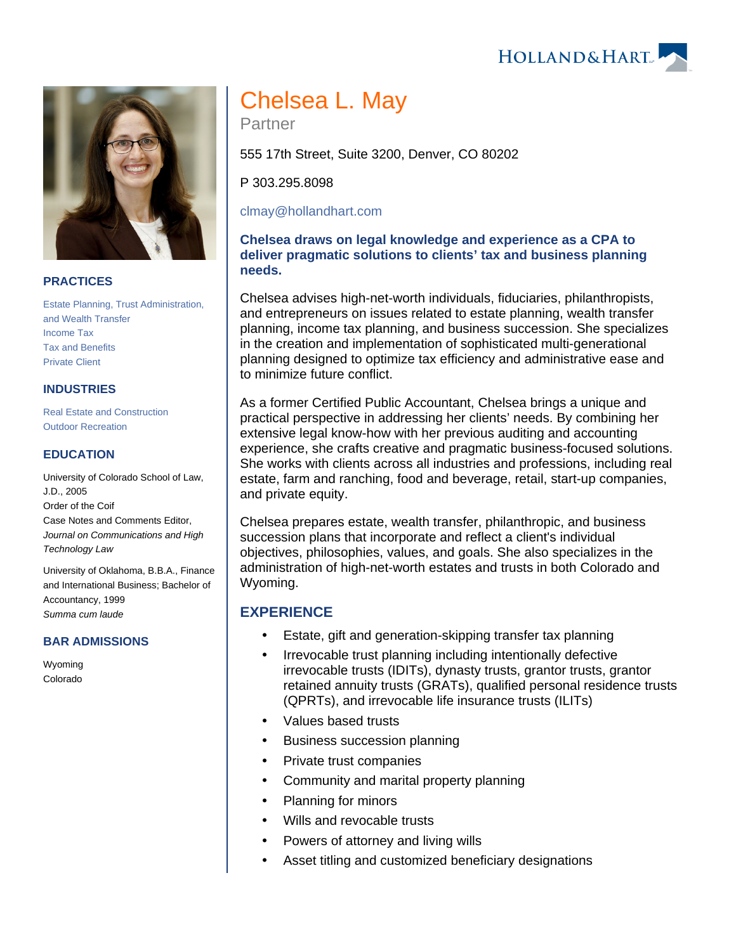## **PRACTICES**

[Estate Planning, Trust Administration,](https://www.hollandhart.com/19734)  [and Wealth Transfer](https://www.hollandhart.com/19734) [Income Tax](https://www.hollandhart.com/19727) [Tax and Benefits](https://www.hollandhart.com/19755) [Private Client](https://www.hollandhart.com/30121)

#### **INDUSTRIES**

[Real Estate and Construction](https://www.hollandhart.com/29065) [Outdoor Recreation](https://www.hollandhart.com/34315)

### **EDUCATION**

University of Colorado School of Law, J.D., 2005 Order of the Coif Case Notes and Comments Editor, Journal on Communications and High Technology Law

University of Oklahoma, B.B.A., Finance and International Business; Bachelor of Accountancy, 1999 Summa cum laude

#### **BAR ADMISSIONS**

Wyoming Colorado

# Chelsea L. May

Partner

555 17th Street, Suite 3200, Denver, CO 80202

P 303.295.8098

[clmay@hollandhart.com](mailto:clmay@hollandhart.com)

## **Chelsea draws on legal knowledge and experience as a CPA to deliver pragmatic solutions to clients' tax and business planning needs.**

Chelsea advises high-net-worth individuals, fiduciaries, philanthropists, and entrepreneurs on issues related to estate planning, wealth transfer planning, income tax planning, and business succession. She specializes in the creation and implementation of sophisticated multi-generational planning designed to optimize tax efficiency and administrative ease and to minimize future conflict.

As a former Certified Public Accountant, Chelsea brings a unique and practical perspective in addressing her clients' needs. By combining her extensive legal know-how with her previous auditing and accounting experience, she crafts creative and pragmatic business-focused solutions. She works with clients across all industries and professions, including real estate, farm and ranching, food and beverage, retail, start-up companies, and private equity.

Chelsea prepares estate, wealth transfer, philanthropic, and business succession plans that incorporate and reflect a client's individual objectives, philosophies, values, and goals. She also specializes in the administration of high-net-worth estates and trusts in both Colorado and Wyoming.

## **EXPERIENCE**

- Estate, gift and generation-skipping transfer tax planning
- Irrevocable trust planning including intentionally defective irrevocable trusts (IDITs), dynasty trusts, grantor trusts, grantor retained annuity trusts (GRATs), qualified personal residence trusts (QPRTs), and irrevocable life insurance trusts (ILITs)
- Values based trusts
- Business succession planning
- Private trust companies
- Community and marital property planning
- Planning for minors
- Wills and revocable trusts
- Powers of attorney and living wills
- Asset titling and customized beneficiary designations